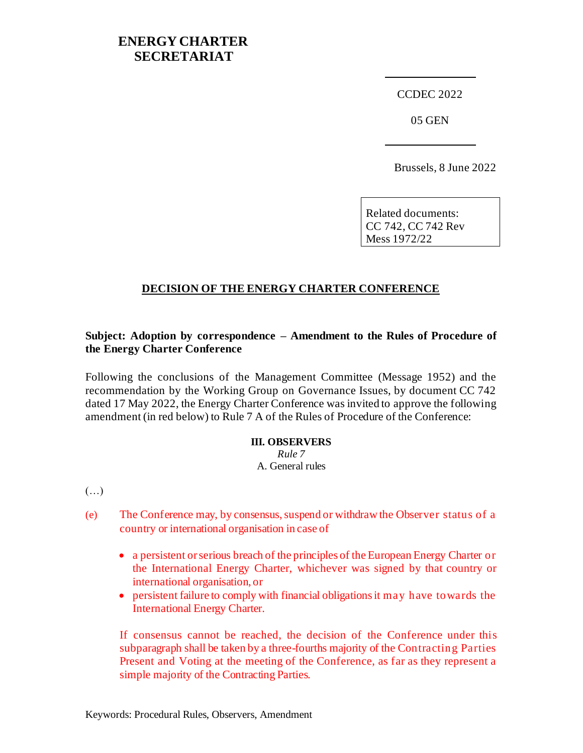## **ENERGY CHARTER SECRETARIAT**

CCDEC 2022

05 GEN

Brussels, 8 June 2022

Related documents: CC 742, CC 742 Rev Mess 1972/22

## **DECISION OF THE ENERGY CHARTER CONFERENCE**

## **Subject: Adoption by correspondence – Amendment to the Rules of Procedure of the Energy Charter Conference**

Following the conclusions of the Management Committee (Message 1952) and the recommendation by the Working Group on Governance Issues, by document CC 742 dated 17 May 2022, the Energy Charter Conference was invited to approve the following amendment (in red below) to Rule 7 A of the Rules of Procedure of the Conference:

## **III. OBSERVERS** *Rule 7* A. General rules

(…)

- (e) The Conference may, by consensus, suspend or withdraw the Observer status of a country or international organisation in case of
	- a persistent or serious breach of the principles of the European Energy Charter or the International Energy Charter, whichever was signed by that country or international organisation, or
	- persistent failure to comply with financial obligations it may have towards the International Energy Charter.

If consensus cannot be reached, the decision of the Conference under this subparagraph shall be taken by a three-fourths majority of the Contracting Parties Present and Voting at the meeting of the Conference, as far as they represent a simple majority of the Contracting Parties.